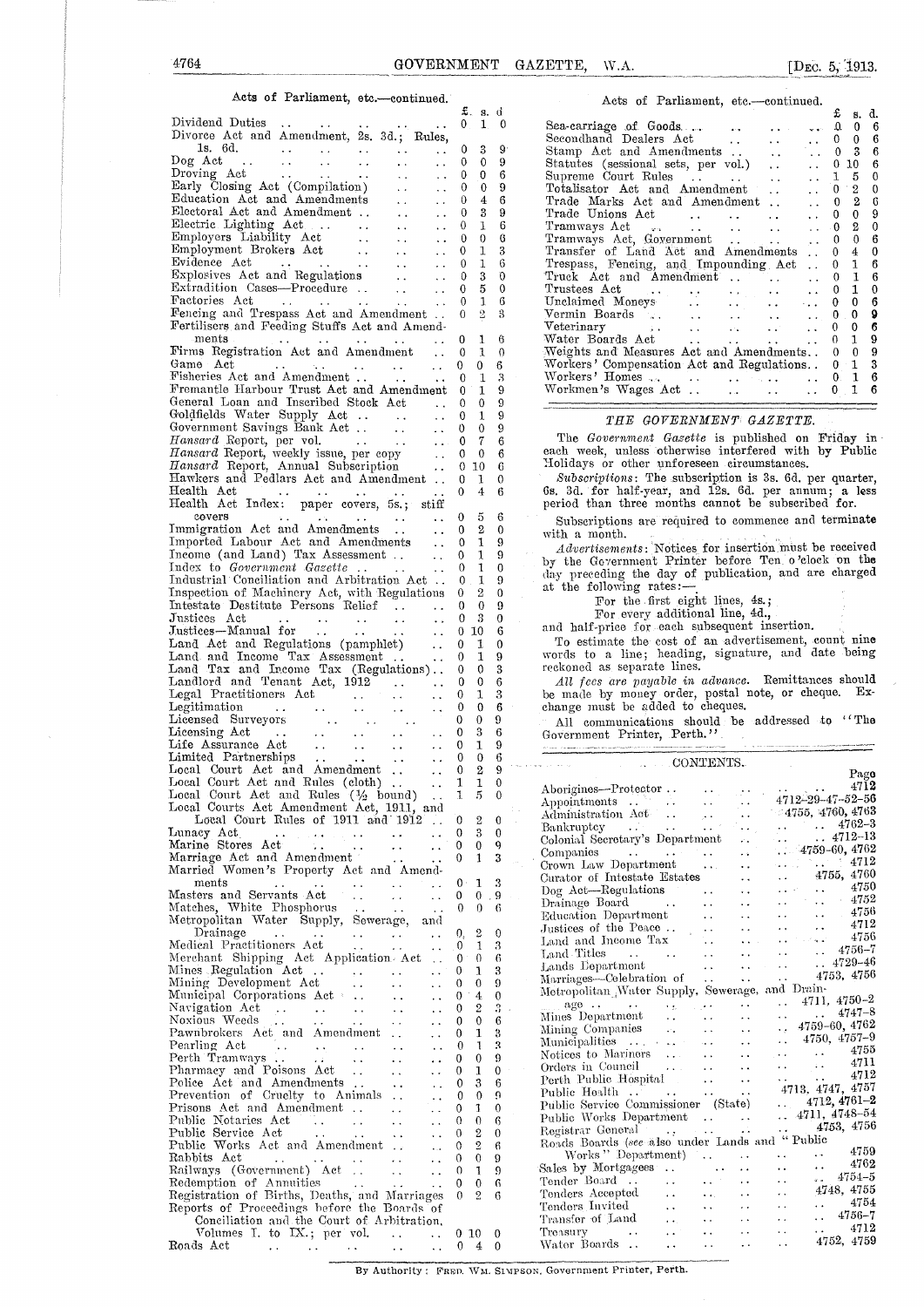#### Acts of Parliament, etc.-continued.

|                                                                                                                                                                                                             |                | £.<br>s.              | đ         |
|-------------------------------------------------------------------------------------------------------------------------------------------------------------------------------------------------------------|----------------|-----------------------|-----------|
| Dividend Duties<br>Divorce Act and Amendment, 2s. 3d.; Rules,                                                                                                                                               | $0_{-}$        | 1.                    | 0         |
| 1s. 6d.<br>$\star$ $\star$                                                                                                                                                                                  | 0              | 3                     | 9         |
| $\sim 10^4$<br>Dog Act<br>$\sim$ $\sim$ $\sim$<br>$\sim 100$ km s $^{-1}$<br>$\sim 100$ km s $^{-1}$<br>$\sim$ $\sim$                                                                                       | 0              | 0                     | 9         |
| Droving Act<br>$\sim$ $\sim$<br>$\sim$ $\sim$<br>. .<br>$\ddot{\phantom{0}}$<br>$\bullet$ $\bullet$                                                                                                         | 0              | 0                     | 6         |
| Early Closing Act (Compilation)<br>i.                                                                                                                                                                       | 0              | 0                     | 9         |
| Education Act and Amendments<br>$\sim$ $\sim$<br>$\ddot{\phantom{0}}$                                                                                                                                       | 0              | 4                     | 6         |
| Electoral Act and Amendment<br>$\epsilon$ .                                                                                                                                                                 | 0<br>0         | 3<br>1                | 9<br>6    |
| Electric Lighting Act<br>Employers Liability Act<br>Employers Liability Act<br>Employment Brokers Act<br>Explosives Act and Regulations<br>$\ddot{\phantom{a}}$<br>$\ddot{\phantom{1}}$<br>$\ddotsc$<br>. . | 0              | 0                     | 6         |
| $\sim 10^{-1}$<br>$\sim$                                                                                                                                                                                    | 0              | 1                     | 3         |
| $\sim 10^{-1}$<br>. .                                                                                                                                                                                       | 0              | 1                     | 6         |
| $\sim 10^{-1}$<br>$\ddot{\phantom{0}}$                                                                                                                                                                      | 0              | 3                     | 0         |
| Extradition Cases-Procedure<br>$\sim 10^{-1}$<br>$\ddot{\phantom{a}}$                                                                                                                                       | 0              | 5                     | 0         |
| Factories Act<br>$\sim$ $\sim$<br>$\mathbf{r}$ , $\mathbf{r}$<br>$\sim$ $\sim$<br>$\ddot{\phantom{a}}$ .                                                                                                    | 0              | 1                     | 6         |
| Fencing and Trespass Act and Amendment                                                                                                                                                                      | 0              | 2                     | 3         |
| Fertilisers and Feeding Stuffs Act and Amend-<br>ments                                                                                                                                                      | 0              | 1                     | 6         |
| $\sim 10$<br>Firms Registration Act and Amendment<br>$\ddot{\phantom{0}}$                                                                                                                                   | 0              | 1                     | 0         |
| Game Act<br>$\sim 10^{-10}$<br>$\ddot{\phantom{a}}$                                                                                                                                                         | 0              | 0                     | 6         |
| Fisheries Act and Amendment<br>$\ddot{\phantom{a}}$ .                                                                                                                                                       | 0              | 1                     | 3         |
| Fremantle Harbour Trust Act and Amendment                                                                                                                                                                   | 0              | 1                     | 9         |
| General Loan and Inscribed Stock Act                                                                                                                                                                        | 0              | 0                     | 9         |
| Goldfields Water Supply Act<br>$\mathcal{L}^{\text{max}}_{\text{max}}$<br>$\ddot{\phantom{a}}$                                                                                                              | 0              | 1                     | 9         |
| $\sim$ $\sim$                                                                                                                                                                                               | 0              | 0                     | 9         |
|                                                                                                                                                                                                             | 0              | 7                     | 6         |
| Hansard Report, weekly issue, per copy<br>Hansard Report, Annual Subscription<br>$\sim$ $\sim$                                                                                                              | 0<br>0         | 0<br>10               | 6<br>6    |
| Hawkers and Pedlars Act and Amendment                                                                                                                                                                       | 0              | 1                     | 0         |
|                                                                                                                                                                                                             | 0              | 4                     | 6         |
| Health Act<br>Health Act Index: paper covers, 5s.; stiff                                                                                                                                                    |                |                       |           |
| $\ddot{\phantom{0}}$                                                                                                                                                                                        | 0              | 5                     | 6         |
| covers<br>Immigration Act and Amendments                                                                                                                                                                    | 0              | 2                     | 0         |
| Imported Labour Act and Amendments<br>$\sim$ $\sim$                                                                                                                                                         | 0              | 1                     | 9         |
| Income (and Land) Tax Assessment<br>$\sim$ $\sim$                                                                                                                                                           | 0              | 1                     | 9         |
| Index to Government Gazette<br>$\sim 10^7$<br>$\sim$ $\sim$                                                                                                                                                 | 0              | 1                     | 0         |
| Industrial Conciliation and Arbitration Act                                                                                                                                                                 | 0              | 1                     | 9         |
| Inspection of Machinery Act, with Regulations<br>Intestate Destitute Persons Relief                                                                                                                         | 0<br>0         | 2<br>0                | 0<br>9    |
| Justices Act<br>$\ddot{\phantom{1}}$                                                                                                                                                                        | 0              | 3                     | 0         |
| المدار المدار المد<br>المدار المدار المد<br>Justices-Manual for<br>с.                                                                                                                                       | 0              | 10                    | 6         |
| Justices—manuar 101.<br>Land Act and Regulations (pamphlet)<br>$\ddot{\phantom{a}}$                                                                                                                         | 0              | 1                     | 0         |
| Land and Income Tax Assessment<br>$\ddot{\phantom{1}}$                                                                                                                                                      | 0              | 1                     | 9         |
| Land Tax and Income Tax (Regulations)                                                                                                                                                                       | 0              | 0                     | 3         |
| Landlord and Tenant Act, 1912<br>$\sim 10^{11}$ km s $^{-1}$                                                                                                                                                | 0              | 0                     | 6         |
| Ϋ.                                                                                                                                                                                                          | 0              | 1                     | 3         |
| .,                                                                                                                                                                                                          | 0              | 0                     | 6         |
| $\ddot{\cdot}$                                                                                                                                                                                              | 0<br>0         | 0<br>3                | 9<br>6    |
| $\ddot{\phantom{0}}$                                                                                                                                                                                        | 0              | 1                     | 9         |
| Ϋ.                                                                                                                                                                                                          | 0              | 0                     | 6         |
| $\ddot{\phantom{1}}$ .                                                                                                                                                                                      | 0              | 2                     | 9         |
| $\ddot{\phantom{a}}$ .                                                                                                                                                                                      | 1              | 1                     | 0         |
| Local Court Act and Rules $(\frac{1}{2}$ bound)<br>Local Courts Act American ( $\frac{1}{2}$ bound)                                                                                                         | 1              | 5                     | 0         |
| Local Courts Act Amendment Act, 1911, and                                                                                                                                                                   |                |                       |           |
| Local Court Rules of 1911 and 1912<br>$\ddot{\phantom{1}}$                                                                                                                                                  | 0              | 2                     | 0         |
| Lunacy Act<br>Lunacy Act<br>Marine Stores Act<br>$\sim 10^{-1}$<br>$\ddot{\phantom{0}}$<br>$\sim$ $\sim$                                                                                                    | 0<br>0         | 3<br>0                | 0<br>9    |
| Marriage Act and Amendment                                                                                                                                                                                  | 0              | 1                     | 3         |
| Married Women's Property Act and Amend-                                                                                                                                                                     |                |                       |           |
| $_{\rm{ments}}$<br>$\ddot{\phantom{a}}$ .<br>$\ddot{\phantom{1}}$ .<br>$\bullet$ $\bullet$<br>$\bullet$ $\bullet$                                                                                           | $0 -$          | 1                     | 3         |
| $\sim 12$<br>Masters and Servants Act<br>$\ddot{\phantom{0}}$<br>$\sim$ $\sim$                                                                                                                              | 0              | 0                     | $\cdot$ 9 |
|                                                                                                                                                                                                             | 0              | 0                     | 6         |
| Matches, White Phosphorus<br>Metropolitan Water Supply, Sewerage, and                                                                                                                                       |                |                       |           |
| Drainage<br>$\sim 100$ km s $^{-1}$<br>$\sim 100$ km $^{-2}$<br>$\sim$ .<br>$\sim$ $\sim$<br>$\sim$<br>Medical Practitioners Act                                                                            | 0,<br>0        | 2<br>1                | 0<br>3    |
| $\ddotsc$<br>$\ddot{\phantom{0}}$<br>Merchant Shipping Act Application Act<br>$\ddot{\phantom{a}}$                                                                                                          | 0 <sup>1</sup> | 0                     | 6         |
| Mines Regulation Act<br>$\ddotsc$<br>$\sim 100$ km s $^{-1}$                                                                                                                                                | 0              | 1                     | 3         |
| Mining Development Act<br>$\ddot{\phantom{0}}$ .<br>$\sim$ $\times$<br>μ.                                                                                                                                   | 0              | 0                     | 9         |
| Municipal Corporations Act<br>$\ddot{\phantom{1}}$                                                                                                                                                          | 0              | 4                     | 0         |
| Navigation Act<br>العقاب العواد<br>$\sim$ $\alpha$<br>$\sim$ $\sim$<br>. .                                                                                                                                  | 0              | 2                     | 3         |
| Noxious Weeds<br>$\sim$ $\sim$<br>$\sim 10^{-1}$<br>ο¥.<br>. .<br>$\ddotsc$                                                                                                                                 | 0              | 0                     | 6         |
| Pawnbrokers Act and Amendment<br>$\ddot{\phantom{0}}$                                                                                                                                                       | 0              | 1                     | 3<br>3    |
| Pearling Act<br>$\sim 100$ km s $^{-1}$<br>$\star$ $\star$<br>$\ddot{\phantom{0}}$                                                                                                                          | 0<br>0         | 1<br>0                | 9         |
| $\sim$ $\sim$<br>. .<br>$\ddot{\phantom{0}}$<br>Pharmacy and Poisons Act.<br>$\ddotsc$<br>$\sim$ $\sim$                                                                                                     | 0              | 1                     | 0         |
| Police Act and Amendments<br>$\ddot{\phantom{1}}$ .<br>$\ddot{\phantom{0}}$<br>$\ddotsc$                                                                                                                    | 0              | 3                     | 6         |
| Prevention of Cruelty to Animals<br>$\ddot{\phantom{0}}$                                                                                                                                                    | 0              | 0                     | ņ         |
| Prisons Act and Amendment<br>$\sim 10^7$<br>$\ddot{\phantom{0}}$                                                                                                                                            | 0              | 1                     | 0         |
| Public Notaries Act<br><b>Contractor</b><br>$\sim$ $\sim$<br>$\ddot{\phantom{0}}$<br>$\ddot{\phantom{1}}$                                                                                                   | 0              | 0                     | 6         |
| Public Service Act<br>$\ddot{\phantom{1}}$<br>$\ddot{\phantom{0}}$<br>Ϋ,                                                                                                                                    | 0              | 2                     | 0         |
| Public Works Act and Amendment<br>.,                                                                                                                                                                        | 0              | 2                     | 6         |
| Rabbits Act<br>$\sim 100$ km $^{-2}$<br>$\sim$ $\sim$<br>. .<br>Railways (Government) Act                                                                                                                   | 0<br>0         | 0                     | 9         |
| $\sim$ $\sim$<br>$\ddot{\phantom{0}}$<br>Redemption of Annuities<br>$\sim$ $\sim$                                                                                                                           | 0              | 1<br>0                | 9<br>6    |
| $\sim 10^{-1}$<br>$\ddotsc$<br>Registration of Births, Deaths, and Marriages                                                                                                                                | 0              | 2                     | 6         |
| Reports of Proceedings before the Boards of                                                                                                                                                                 |                |                       |           |
| Conciliation and the Court of Arbitration,                                                                                                                                                                  |                |                       |           |
|                                                                                                                                                                                                             |                | $0^{\circ}10^{\circ}$ | 0         |
| Roads Act                                                                                                                                                                                                   |                | $0 \quad 4$           | 0         |

| Acts of Parliament, etc.-continued.                                                                   |    |              |    |
|-------------------------------------------------------------------------------------------------------|----|--------------|----|
|                                                                                                       | £  | 8.           | d. |
| Sea-carriage of Goods                                                                                 | Q. | 0            | 6  |
| Secondhand Dealers Act<br>$\ddot{\phantom{0}}$<br>. .                                                 | 0. | 0            | 6  |
| Stamp Act and Amendments<br>$\ddot{\phantom{0}}$<br>$\ddotsc$                                         | 0  | 3            | 6  |
| Statutes (sessional sets, per vol.)<br>$\ddotsc$                                                      | 0. | 10           | 6  |
| Supreme Court Rules<br>$\ddot{\phantom{0}}$<br>$\ddot{\phantom{a}}$                                   | 1  | 5            | 0  |
| Totalisator Act and Amendment<br>$\ddot{\phantom{a}}$<br>$\ddot{\phantom{a}}$                         | 0  | 2.           | 0  |
| Trade Marks Act and Amendment<br>$\ddot{\phantom{0}}$<br>. .                                          | 0. | 2            | G  |
| Trade Unions Act                                                                                      | 0  | 0            | 9  |
| Tramways Act<br>and the state of the state of the<br>$\sim$ .                                         | 0. | 2            | 0  |
| Tramways Act, Government<br>$\sim 10^4$ km s $^{-1}$<br>$\ddot{\phantom{0}}$                          | 0. | 0            | 6  |
| Transfer of Land Act and Amendments<br>$\ddot{\phantom{0}}$                                           | 0. | 4            | 0  |
| Trespass, Fencing, and Impounding Act<br>$\ddot{\phantom{a}}$                                         | 0  | 1            | 6  |
| Truck Act and Amendment .<br>$\ddot{\phantom{a}}$                                                     | 0  | $\mathbf{1}$ | 6  |
| ${\rm Trustees\_Act}$<br>$\ddot{\phantom{0}}$<br>$\sim 10^{-10}$<br>$\cdot$ .<br><b>CALCULUM</b>      | 0  | 1            | 0  |
| Unclaimed Moneys<br>المتعاد<br><b>Contractor</b><br>$\ddotsc$                                         | 0. | 0            | 6  |
| Vermin Boards<br>$\sim$ $\sim$ $\sim$<br><b>Contractor</b><br>$\sim 10^{-10}$<br>$\ddot{\phantom{a}}$ | 0  | 0            | 9  |
| Veterinary<br>a at i<br>and the<br>$\ddot{\phantom{a}}$                                               | 0. | 0            | 6  |
| Water Boards Act<br>$\sim$                                                                            | 0. | 1            | 9  |
| Weights and Measures Act and Amendments                                                               | 0. | 0            | 9  |
| Workers' Compensation Act and Regulations                                                             | 0. | 1            | 3  |
| Workers' Homes                                                                                        | 0. | 1            | 6  |
| Workmen's Wages Act<br><b>Alan Adam</b><br>. .<br>$\ddot{\phantom{a}}$                                | 0  | 1            | 6  |

### *THE GOVERNMENT GAZETTE.*

The *Government Gazette* is published on Friday in each week, unless otherwise interfered with by Public Holidays or other unforeseen circumstances.

*Subscriptions:* The subscription is 3s. 6d. per quarter, Gs. 3d. for half-year, and 12s. 6d. per annum; a less period than three months cannot be subscribed for.

Subscriptions are required to commence and terminate with a month.

*Advertisements:* 'Notices for insertion must be received by the Government Printer before Ten o'clock on the day preceding the day of publication, and are charged at the following rates:-

For the first eight lines, 4s.;

For every additional line, 4d.,

and half-price for each subsequent insertion.

To estimate the- cost of an advertisement, count nine words to a line; heading, signature, and date being reckoned as separate lines.

*All fees are payable in advance.* Remittances should be made by money order, postal note, or cheque. Exchange must be added to cheques.

All communications should be addressed to "The Government Printer, Perth."

COMPENIES

|                                                 |                                            |                             |                                                                                                                                                                                                                 |               | Pago |
|-------------------------------------------------|--------------------------------------------|-----------------------------|-----------------------------------------------------------------------------------------------------------------------------------------------------------------------------------------------------------------|---------------|------|
| Aborigines—Protector                            |                                            |                             |                                                                                                                                                                                                                 | $\ldots$ 4712 |      |
|                                                 | $\sim 10^{-1}$                             | $\sim$ $\sim$               | 4712-29-47-52-56                                                                                                                                                                                                |               |      |
| Appointments<br>Administration Act              | $\langle \cdot, \cdot \rangle$             | $\ddot{\phantom{0}}$        | $-4755, 4760, 4763$                                                                                                                                                                                             |               |      |
| Bankruptcy                                      | $\sim 10^{-10}$                            | $\mathcal{L}(\mathcal{L})$  | $\ldots$ $4762-3$                                                                                                                                                                                               |               |      |
| Colonial Secretary's Department                 |                                            | $\mathcal{L}_{\mathcal{A}}$ | $\therefore$ 4712-13                                                                                                                                                                                            |               |      |
|                                                 |                                            | $\ddot{\phantom{a}}$        | $\ldots$ 4759-60, 4762                                                                                                                                                                                          |               |      |
| Crown Law Department                            | $\sim 100$ km s $^{-1}$                    | $\ddot{\phantom{a}}$        | $\ldots$ 4712                                                                                                                                                                                                   |               |      |
| Curator of Intestate Estates                    |                                            | $\ddot{\phantom{0}}$        | $\ldots$ 4755, 4760                                                                                                                                                                                             |               |      |
| Dog Act-Regulations<br><b>Contractor</b>        |                                            | $\ddot{\phantom{0}}$        | $\cdots$ $4750$                                                                                                                                                                                                 |               |      |
| Drainage Board                                  |                                            | $\ddot{\phantom{a}}$        | $\mathcal{L}_{\mathcal{A}}$ , and $\mathcal{L}_{\mathcal{A}}$ , and                                                                                                                                             |               | 4752 |
| Education Department                            | $\sim 10^{-1}$                             |                             | $\ldots$ $\ldots$ $\ldots$ $4756$                                                                                                                                                                               |               |      |
| Justices of the Peace                           | $\mathbf{A}$                               |                             |                                                                                                                                                                                                                 |               |      |
| Land and Income Tax                             |                                            |                             | $\begin{array}{ccccccccc}\n\cdot & \cdot & \cdot & \cdot & \cdot & \cdot & 4712 \\ \cdot & \cdot & \cdot & \cdot & \cdot & \cdot & 4756 \\ \cdot & \cdot & \cdot & \cdot & \cdot & \cdot & 4756-7\n\end{array}$ |               |      |
| Land Titles $\cdots$                            | $\ddotsc$                                  |                             |                                                                                                                                                                                                                 |               |      |
| Lands Department                                | $\mathbf{r}$                               | $\mathbf{L}$                | $\mathcal{L}^{\text{max}}$ and $\mathcal{L}^{\text{max}}$                                                                                                                                                       | $. 4729 - 46$ |      |
| Marriages---Celebration of                      | $\ddot{\phantom{0}}$                       | $\mathbf{v}(\mathbf{z})$ .  | $\ldots$ 4753, 4756                                                                                                                                                                                             |               |      |
| Metropolitan Water Supply, Sewerage, and Drain- |                                            |                             |                                                                                                                                                                                                                 |               |      |
|                                                 |                                            |                             |                                                                                                                                                                                                                 |               |      |
|                                                 |                                            |                             |                                                                                                                                                                                                                 |               |      |
|                                                 |                                            |                             |                                                                                                                                                                                                                 |               |      |
|                                                 |                                            |                             |                                                                                                                                                                                                                 |               |      |
| Notices to Mariners                             |                                            | $\sim$                      |                                                                                                                                                                                                                 |               |      |
| Orders in Council                               |                                            |                             |                                                                                                                                                                                                                 |               |      |
| Perth Public Hospital                           |                                            | $\ddot{\phantom{a}}$        |                                                                                                                                                                                                                 |               |      |
|                                                 |                                            |                             | 4713, 4747, 4757                                                                                                                                                                                                |               |      |
| Public Service Commissioner (State)             |                                            |                             | $\ldots$ 4712, 4761-2                                                                                                                                                                                           |               |      |
| Public Works Department                         |                                            |                             | $.4711, 4748-54$                                                                                                                                                                                                |               |      |
|                                                 |                                            |                             | 4753, 4756                                                                                                                                                                                                      |               |      |
| Roads Boards (see also under Lands and "Public  |                                            |                             |                                                                                                                                                                                                                 |               |      |
|                                                 |                                            |                             | $\frac{\text{Public}}{\text{?}}$ 4759                                                                                                                                                                           |               |      |
| Works "Department)                              |                                            |                             |                                                                                                                                                                                                                 | 4762          |      |
| Sales by Mortgagees                             | $\mathbf{r}$ , $\mathbf{r}$ , $\mathbf{r}$ |                             | . .                                                                                                                                                                                                             | $4754 - 5$    |      |
| Tender Board                                    |                                            | $\ddot{\phantom{0}}$        | $\ddot{\phantom{0}}$                                                                                                                                                                                            | 4748, 4755    |      |
| Tenders Accepted                                |                                            |                             | $\mathbf{r}$ .                                                                                                                                                                                                  | $\ldots$ 4754 |      |
| Tenders Invited                                 | $\ddot{\phantom{a}}$                       | $\ddot{\phantom{0}}$        | $\ddotsc$                                                                                                                                                                                                       | $. 4756 - 7$  |      |
| Transfer of Land $\ldots$                       | $\mathbf{r}$ , $\mathbf{r}$                | $\sim$                      | $\sim$ $\sim$                                                                                                                                                                                                   | $\ldots$ 4712 |      |
| $\sim 10^{11}$<br>Treasury<br>Water Boards      | $\sim 10^{-1}$                             | $\sim 10^{-1}$              | $\ddotsc$                                                                                                                                                                                                       | 4752, 4759    |      |
| $\ddot{\phantom{a}}$                            | $\mathbf{r}$                               | $\ddotsc$                   | $\ddot{\phantom{a}}$                                                                                                                                                                                            |               |      |

By Authority : FRED. WM. SIMPSON, Government Printer, Perth.